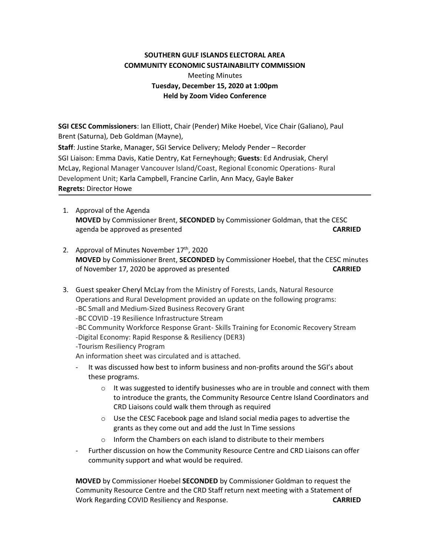## **SOUTHERN GULF ISLANDS ELECTORAL AREA COMMUNITY ECONOMIC SUSTAINABILITY COMMISSION**

## Meeting Minutes **Tuesday, December 15, 2020 at 1:00pm Held by Zoom Video Conference**

**SGI CESC Commissioners**: Ian Elliott, Chair (Pender) Mike Hoebel, Vice Chair (Galiano), Paul Brent (Saturna), Deb Goldman (Mayne),  **Staff**: Justine Starke, Manager, SGI Service Delivery; Melody Pender – Recorder SGI Liaison: Emma Davis, Katie Dentry, Kat Ferneyhough; **Guests**: Ed Andrusiak, Cheryl McLay, Regional Manager Vancouver Island/Coast, Regional Economic Operations- Rural Development Unit; Karla Campbell, Francine Carlin, Ann Macy, Gayle Baker **Regrets:** Director Howe

- 1. Approval of the Agenda **MOVED** by Commissioner Brent, **SECONDED** by Commissioner Goldman, that the CESC agenda be approved as presented **CARRIED**
- 2. Approval of Minutes November 17<sup>th</sup>, 2020 **MOVED** by Commissioner Brent, **SECONDED** by Commissioner Hoebel, that the CESC minutes of November 17, 2020 be approved as presented **CARRIED**

3. Guest speaker Cheryl McLay from the Ministry of Forests, Lands, Natural Resource Operations and Rural Development provided an update on the following programs: -BC Small and Medium-Sized Business Recovery Grant -BC COVID -19 Resilience Infrastructure Stream -BC Community Workforce Response Grant- Skills Training for Economic Recovery Stream -Digital Economy: Rapid Response & Resiliency (DER3) -Tourism Resiliency Program An information sheet was circulated and is attached.

- It was discussed how best to inform business and non-profits around the SGI's about these programs.
	- $\circ$  It was suggested to identify businesses who are in trouble and connect with them to introduce the grants, the Community Resource Centre Island Coordinators and CRD Liaisons could walk them through as required
	- o Use the CESC Facebook page and Island social media pages to advertise the grants as they come out and add the Just In Time sessions
	- o Inform the Chambers on each island to distribute to their members
- Further discussion on how the Community Resource Centre and CRD Liaisons can offer community support and what would be required.

**MOVED** by Commissioner Hoebel **SECONDED** by Commissioner Goldman to request the Community Resource Centre and the CRD Staff return next meeting with a Statement of Work Regarding COVID Resiliency and Response. **CARRIED**